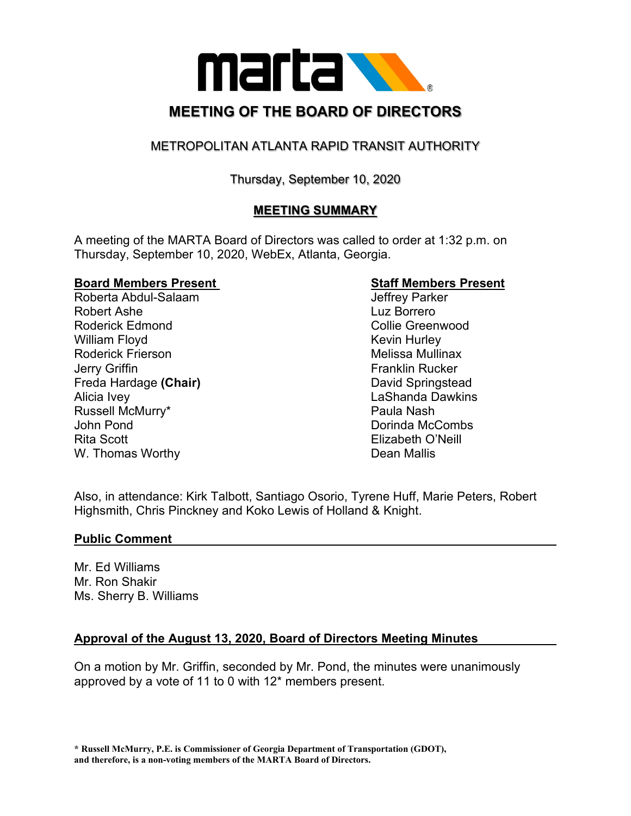

# METROPOLITAN ATLANTA RAPID TRANSIT AUTHORITY

## Thursday, September 10, 2020

# **MEETING SUMMARY**

A meeting of the MARTA Board of Directors was called to order at 1:32 p.m. on Thursday, September 10, 2020, WebEx, Atlanta, Georgia.

# **Board Members Present Staff Members Present**

Roberta Abdul-Salaam Robert Ashe **Luz Borrero** Roderick Edmond **Collie Greenwood Collie Greenwood** William Floyd **Kevin Hurley** Kevin Hurley Roderick Frierson **Melissa Mullinax** Jerry Griffin **Franklin Rucker Franklin Rucker** Freda Hardage **(Chair)** David Springstead Alicia Ivey LaShanda Dawkins Russell McMurry\* **Paula Nash** Paula Nash John Pond Dorinda McCombs Rita Scott Elizabeth O'Neill W. Thomas Worthy **Dean Mallis** 

Also, in attendance: Kirk Talbott, Santiago Osorio, Tyrene Huff, Marie Peters, Robert Highsmith, Chris Pinckney and Koko Lewis of Holland & Knight.

#### **Public Comment**

Mr. Ed Williams Mr. Ron Shakir Ms. Sherry B. Williams

### **Approval of the August 13, 2020, Board of Directors Meeting Minutes**

On a motion by Mr. Griffin, seconded by Mr. Pond, the minutes were unanimously approved by a vote of 11 to 0 with 12\* members present.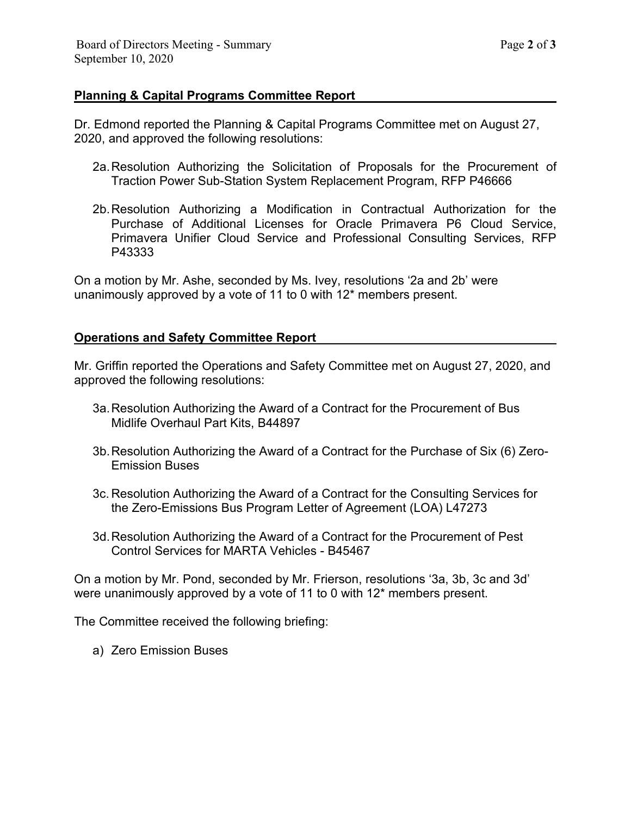#### **Planning & Capital Programs Committee Report**

Dr. Edmond reported the Planning & Capital Programs Committee met on August 27, 2020, and approved the following resolutions:

- 2a.Resolution Authorizing the Solicitation of Proposals for the Procurement of Traction Power Sub-Station System Replacement Program, RFP P46666
- 2b.Resolution Authorizing a Modification in Contractual Authorization for the Purchase of Additional Licenses for Oracle Primavera P6 Cloud Service, Primavera Unifier Cloud Service and Professional Consulting Services, RFP P43333

On a motion by Mr. Ashe, seconded by Ms. Ivey, resolutions '2a and 2b' were unanimously approved by a vote of 11 to 0 with 12\* members present.

#### **Operations and Safety Committee Report**

Mr. Griffin reported the Operations and Safety Committee met on August 27, 2020, and approved the following resolutions:

- 3a.Resolution Authorizing the Award of a Contract for the Procurement of Bus Midlife Overhaul Part Kits, B44897
- 3b.Resolution Authorizing the Award of a Contract for the Purchase of Six (6) Zero-Emission Buses
- 3c. Resolution Authorizing the Award of a Contract for the Consulting Services for the Zero-Emissions Bus Program Letter of Agreement (LOA) L47273
- 3d.Resolution Authorizing the Award of a Contract for the Procurement of Pest Control Services for MARTA Vehicles - B45467

On a motion by Mr. Pond, seconded by Mr. Frierson, resolutions '3a, 3b, 3c and 3d' were unanimously approved by a vote of 11 to 0 with 12\* members present.

The Committee received the following briefing:

a) Zero Emission Buses